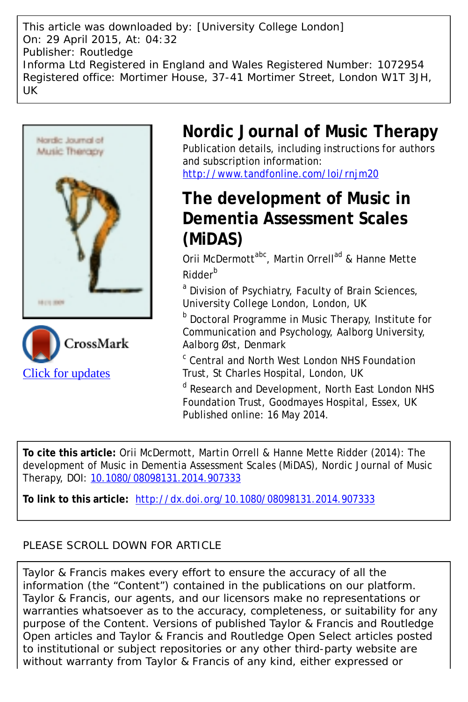This article was downloaded by: [University College London] On: 29 April 2015, At: 04:32 Publisher: Routledge Informa Ltd Registered in England and Wales Registered Number: 1072954 Registered office: Mortimer House, 37-41 Mortimer Street, London W1T 3JH, UK





# **Nordic Journal of Music Therapy**

Publication details, including instructions for authors and subscription information: <http://www.tandfonline.com/loi/rnjm20>

# **The development of Music in Dementia Assessment Scales (MiDAS)**

Orii McDermott<sup>abc</sup>, Martin Orrell<sup>ad</sup> & Hanne Mette Ridder<sup>b</sup>

<sup>a</sup> Division of Psychiatry, Faculty of Brain Sciences, University College London, London, UK

**b** Doctoral Programme in Music Therapy, Institute for Communication and Psychology, Aalborg University, Aalborg Øst, Denmark

<sup>c</sup> Central and North West London NHS Foundation Trust, St Charles Hospital, London, UK

<sup>d</sup> Research and Development, North East London NHS Foundation Trust, Goodmayes Hospital, Essex, UK Published online: 16 May 2014.

**To cite this article:** Orii McDermott, Martin Orrell & Hanne Mette Ridder (2014): The development of Music in Dementia Assessment Scales (MiDAS), Nordic Journal of Music Therapy, DOI: [10.1080/08098131.2014.907333](http://www.tandfonline.com/action/showCitFormats?doi=10.1080/08098131.2014.907333)

**To link to this article:** <http://dx.doi.org/10.1080/08098131.2014.907333>

# PLEASE SCROLL DOWN FOR ARTICLE

Taylor & Francis makes every effort to ensure the accuracy of all the information (the "Content") contained in the publications on our platform. Taylor & Francis, our agents, and our licensors make no representations or warranties whatsoever as to the accuracy, completeness, or suitability for any purpose of the Content. Versions of published Taylor & Francis and Routledge Open articles and Taylor & Francis and Routledge Open Select articles posted to institutional or subject repositories or any other third-party website are without warranty from Taylor & Francis of any kind, either expressed or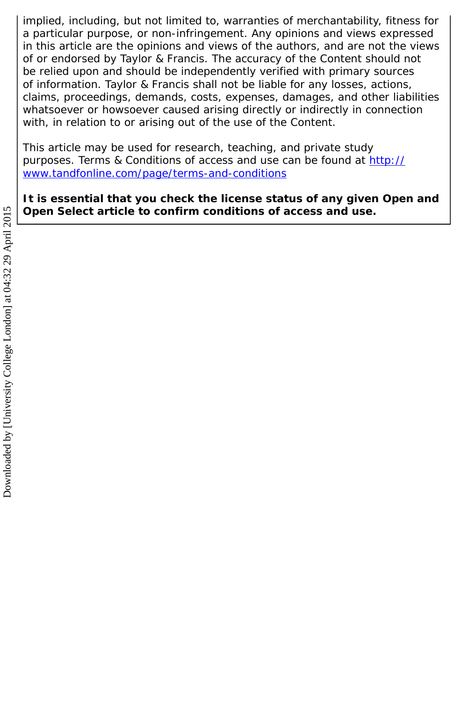implied, including, but not limited to, warranties of merchantability, fitness for a particular purpose, or non-infringement. Any opinions and views expressed in this article are the opinions and views of the authors, and are not the views of or endorsed by Taylor & Francis. The accuracy of the Content should not be relied upon and should be independently verified with primary sources of information. Taylor & Francis shall not be liable for any losses, actions, claims, proceedings, demands, costs, expenses, damages, and other liabilities whatsoever or howsoever caused arising directly or indirectly in connection with, in relation to or arising out of the use of the Content.

This article may be used for research, teaching, and private study purposes. Terms & Conditions of access and use can be found at [http://](http://www.tandfonline.com/page/terms-and-conditions) [www.tandfonline.com/page/terms-and-conditions](http://www.tandfonline.com/page/terms-and-conditions)

**It is essential that you check the license status of any given Open and Open Select article to confirm conditions of access and use.**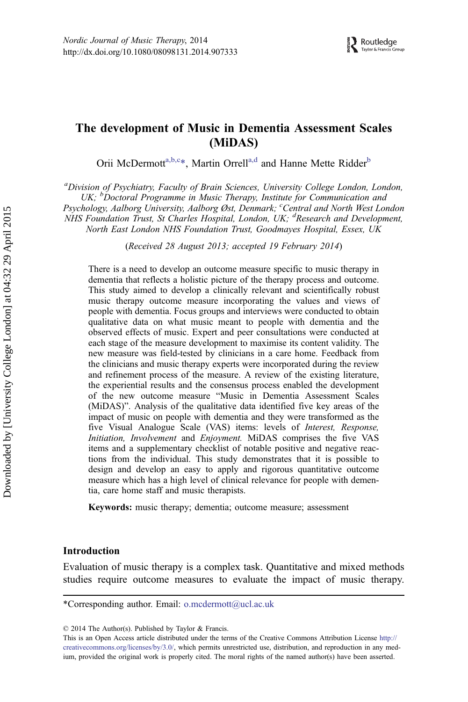# The development of Music in Dementia Assessment Scales (MiDAS)

Orii McDermott<sup>a,b,c\*</sup>, Martin Orrell<sup>a,d</sup> and Hanne Mette Ridder<sup>b</sup>

<sup>a</sup>Division of Psychiatry, Faculty of Brain Sciences, University College London, London,

UK; <sup>b</sup>Doctoral Programme in Music Therapy, Institute for Communication and

Psychology, Aalborg University, Aalborg Øst, Denmark; <sup>c</sup>Central and North West London NHS Foundation Trust, St Charles Hospital, London, UK; <sup>d</sup>Research and Development,

North East London NHS Foundation Trust, Goodmayes Hospital, Essex, UK

(Received 28 August 2013; accepted 19 February 2014)

There is a need to develop an outcome measure specific to music therapy in dementia that reflects a holistic picture of the therapy process and outcome. This study aimed to develop a clinically relevant and scientifically robust music therapy outcome measure incorporating the values and views of people with dementia. Focus groups and interviews were conducted to obtain qualitative data on what music meant to people with dementia and the observed effects of music. Expert and peer consultations were conducted at each stage of the measure development to maximise its content validity. The new measure was field-tested by clinicians in a care home. Feedback from the clinicians and music therapy experts were incorporated during the review and refinement process of the measure. A review of the existing literature, the experiential results and the consensus process enabled the development of the new outcome measure "Music in Dementia Assessment Scales (MiDAS)". Analysis of the qualitative data identified five key areas of the impact of music on people with dementia and they were transformed as the five Visual Analogue Scale (VAS) items: levels of Interest, Response, Initiation, Involvement and Enjoyment. MiDAS comprises the five VAS items and a supplementary checklist of notable positive and negative reactions from the individual. This study demonstrates that it is possible to design and develop an easy to apply and rigorous quantitative outcome measure which has a high level of clinical relevance for people with dementia, care home staff and music therapists.

Keywords: music therapy; dementia; outcome measure; assessment

# Introduction

Evaluation of music therapy is a complex task. Quantitative and mixed methods studies require outcome measures to evaluate the impact of music therapy.

© 2014 The Author(s). Published by Taylor & Francis.

<sup>\*</sup>Corresponding author. Email: o.mcdermott@ucl.ac.uk

This is an Open Access article distributed under the terms of the Creative Commons Attribution License http:// creativecommons.org/licenses/by/3.0/, which permits unrestricted use, distribution, and reproduction in any medium, provided the original work is properly cited. The moral rights of the named author(s) have been asserted.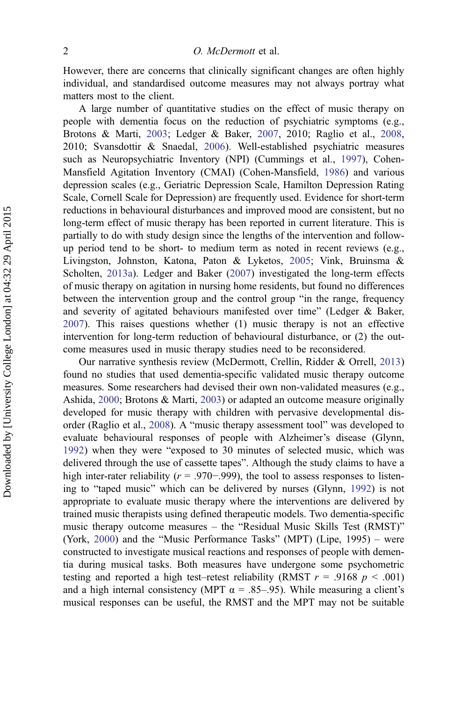However, there are concerns that clinically significant changes are often highly individual, and standardised outcome measures may not always portray what matters most to the client.

A large number of quantitative studies on the effect of music therapy on people with dementia focus on the reduction of psychiatric symptoms (e.g., Brotons & Marti, [2003;](#page-18-0) Ledger & Baker, [2007](#page-18-0), 2010; Raglio et al., [2008,](#page-19-0) 2010; Svansdottir & Snaedal, [2006](#page-19-0)). Well-established psychiatric measures such as Neuropsychiatric Inventory (NPI) (Cummings et al., [1997](#page-18-0)), Cohen-Mansfield Agitation Inventory (CMAI) (Cohen-Mansfield, [1986](#page-18-0)) and various depression scales (e.g., Geriatric Depression Scale, Hamilton Depression Rating Scale, Cornell Scale for Depression) are frequently used. Evidence for short-term reductions in behavioural disturbances and improved mood are consistent, but no long-term effect of music therapy has been reported in current literature. This is partially to do with study design since the lengths of the intervention and followup period tend to be short- to medium term as noted in recent reviews (e.g., Livingston, Johnston, Katona, Paton & Lyketos, [2005;](#page-18-0) Vink, Bruinsma & Scholten, [2013a](#page-19-0)). Ledger and Baker [\(2007](#page-18-0)) investigated the long-term effects of music therapy on agitation in nursing home residents, but found no differences between the intervention group and the control group "in the range, frequency and severity of agitated behaviours manifested over time" (Ledger & Baker, [2007\)](#page-18-0). This raises questions whether (1) music therapy is not an effective intervention for long-term reduction of behavioural disturbance, or (2) the outcome measures used in music therapy studies need to be reconsidered.

Our narrative synthesis review (McDermott, Crellin, Ridder & Orrell, [2013](#page-19-0)) found no studies that used dementia-specific validated music therapy outcome measures. Some researchers had devised their own non-validated measures (e.g., Ashida, [2000;](#page-18-0) Brotons & Marti, [2003\)](#page-18-0) or adapted an outcome measure originally developed for music therapy with children with pervasive developmental disorder (Raglio et al., [2008\)](#page-19-0). A "music therapy assessment tool" was developed to evaluate behavioural responses of people with Alzheimer's disease (Glynn, [1992\)](#page-18-0) when they were "exposed to 30 minutes of selected music, which was delivered through the use of cassette tapes". Although the study claims to have a high inter-rater reliability ( $r = .970-0.999$ ), the tool to assess responses to listening to "taped music" which can be delivered by nurses (Glynn, [1992](#page-18-0)) is not appropriate to evaluate music therapy where the interventions are delivered by trained music therapists using defined therapeutic models. Two dementia-specific music therapy outcome measures – the "Residual Music Skills Test (RMST)" (York, [2000\)](#page-19-0) and the "Music Performance Tasks" (MPT) (Lipe, 1995) – were constructed to investigate musical reactions and responses of people with dementia during musical tasks. Both measures have undergone some psychometric testing and reported a high test–retest reliability (RMST  $r = .9168 \, p \le .001$ ) and a high internal consistency (MPT  $\alpha = .85-.95$ ). While measuring a client's musical responses can be useful, the RMST and the MPT may not be suitable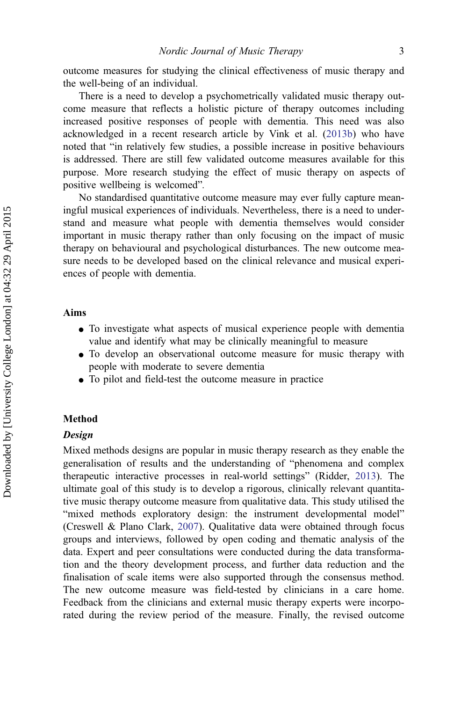outcome measures for studying the clinical effectiveness of music therapy and the well-being of an individual.

There is a need to develop a psychometrically validated music therapy outcome measure that reflects a holistic picture of therapy outcomes including increased positive responses of people with dementia. This need was also acknowledged in a recent research article by Vink et al. ([2013b\)](#page-19-0) who have noted that "in relatively few studies, a possible increase in positive behaviours is addressed. There are still few validated outcome measures available for this purpose. More research studying the effect of music therapy on aspects of positive wellbeing is welcomed".

No standardised quantitative outcome measure may ever fully capture meaningful musical experiences of individuals. Nevertheless, there is a need to understand and measure what people with dementia themselves would consider important in music therapy rather than only focusing on the impact of music therapy on behavioural and psychological disturbances. The new outcome measure needs to be developed based on the clinical relevance and musical experiences of people with dementia.

#### Aims

- To investigate what aspects of musical experience people with dementia value and identify what may be clinically meaningful to measure
- To develop an observational outcome measure for music therapy with people with moderate to severe dementia
- To pilot and field-test the outcome measure in practice

#### Method

#### Design

Mixed methods designs are popular in music therapy research as they enable the generalisation of results and the understanding of "phenomena and complex therapeutic interactive processes in real-world settings" (Ridder, [2013\)](#page-19-0). The ultimate goal of this study is to develop a rigorous, clinically relevant quantitative music therapy outcome measure from qualitative data. This study utilised the "mixed methods exploratory design: the instrument developmental model" (Creswell & Plano Clark, [2007\)](#page-18-0). Qualitative data were obtained through focus groups and interviews, followed by open coding and thematic analysis of the data. Expert and peer consultations were conducted during the data transformation and the theory development process, and further data reduction and the finalisation of scale items were also supported through the consensus method. The new outcome measure was field-tested by clinicians in a care home. Feedback from the clinicians and external music therapy experts were incorporated during the review period of the measure. Finally, the revised outcome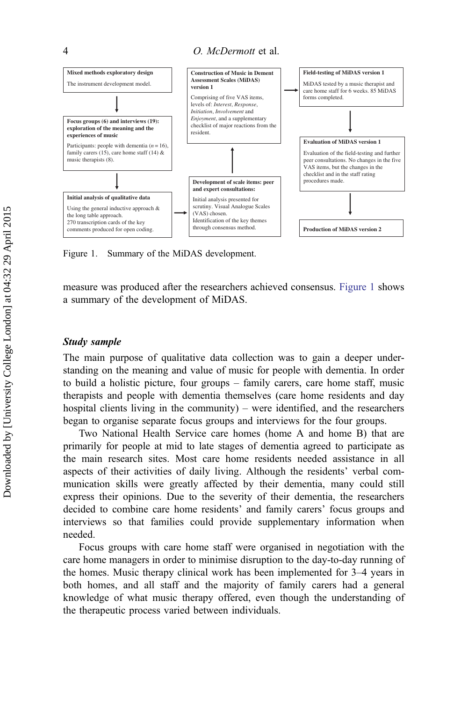

Figure 1. Summary of the MiDAS development.

measure was produced after the researchers achieved consensus. Figure 1 shows a summary of the development of MiDAS.

## Study sample

The main purpose of qualitative data collection was to gain a deeper understanding on the meaning and value of music for people with dementia. In order to build a holistic picture, four groups – family carers, care home staff, music therapists and people with dementia themselves (care home residents and day hospital clients living in the community) – were identified, and the researchers began to organise separate focus groups and interviews for the four groups.

Two National Health Service care homes (home A and home B) that are primarily for people at mid to late stages of dementia agreed to participate as the main research sites. Most care home residents needed assistance in all aspects of their activities of daily living. Although the residents' verbal communication skills were greatly affected by their dementia, many could still express their opinions. Due to the severity of their dementia, the researchers decided to combine care home residents' and family carers' focus groups and interviews so that families could provide supplementary information when needed.

Focus groups with care home staff were organised in negotiation with the care home managers in order to minimise disruption to the day-to-day running of the homes. Music therapy clinical work has been implemented for 3–4 years in both homes, and all staff and the majority of family carers had a general knowledge of what music therapy offered, even though the understanding of the therapeutic process varied between individuals.

 $\sqrt{ }$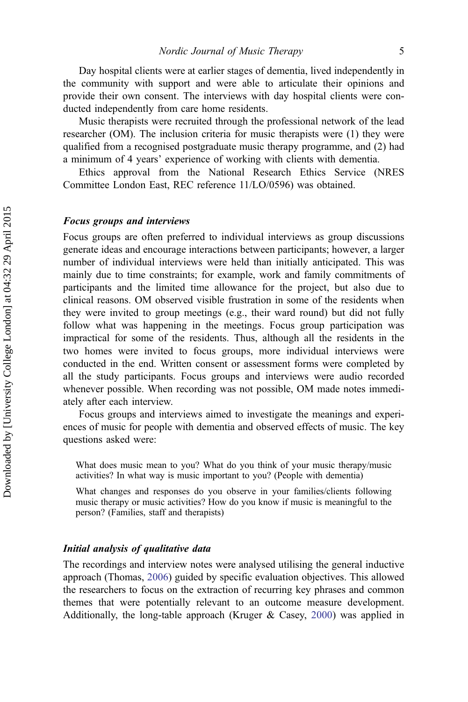Day hospital clients were at earlier stages of dementia, lived independently in the community with support and were able to articulate their opinions and provide their own consent. The interviews with day hospital clients were conducted independently from care home residents.

Music therapists were recruited through the professional network of the lead researcher (OM). The inclusion criteria for music therapists were (1) they were qualified from a recognised postgraduate music therapy programme, and (2) had a minimum of 4 years' experience of working with clients with dementia.

Ethics approval from the National Research Ethics Service (NRES Committee London East, REC reference 11/LO/0596) was obtained.

#### Focus groups and interviews

Focus groups are often preferred to individual interviews as group discussions generate ideas and encourage interactions between participants; however, a larger number of individual interviews were held than initially anticipated. This was mainly due to time constraints; for example, work and family commitments of participants and the limited time allowance for the project, but also due to clinical reasons. OM observed visible frustration in some of the residents when they were invited to group meetings (e.g., their ward round) but did not fully follow what was happening in the meetings. Focus group participation was impractical for some of the residents. Thus, although all the residents in the two homes were invited to focus groups, more individual interviews were conducted in the end. Written consent or assessment forms were completed by all the study participants. Focus groups and interviews were audio recorded whenever possible. When recording was not possible, OM made notes immediately after each interview.

Focus groups and interviews aimed to investigate the meanings and experiences of music for people with dementia and observed effects of music. The key questions asked were:

What does music mean to you? What do you think of your music therapy/music activities? In what way is music important to you? (People with dementia)

What changes and responses do you observe in your families/clients following music therapy or music activities? How do you know if music is meaningful to the person? (Families, staff and therapists)

#### Initial analysis of qualitative data

The recordings and interview notes were analysed utilising the general inductive approach (Thomas, [2006](#page-19-0)) guided by specific evaluation objectives. This allowed the researchers to focus on the extraction of recurring key phrases and common themes that were potentially relevant to an outcome measure development. Additionally, the long-table approach (Kruger & Casey, [2000](#page-18-0)) was applied in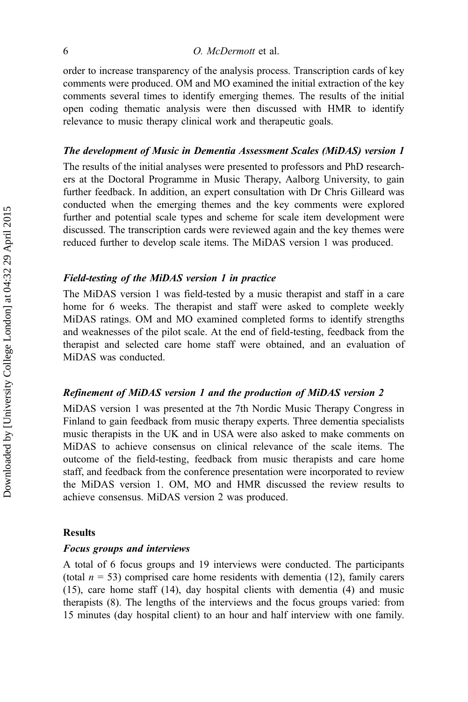#### 6 O. McDermott et al.

order to increase transparency of the analysis process. Transcription cards of key comments were produced. OM and MO examined the initial extraction of the key comments several times to identify emerging themes. The results of the initial open coding thematic analysis were then discussed with HMR to identify relevance to music therapy clinical work and therapeutic goals.

#### The development of Music in Dementia Assessment Scales (MiDAS) version 1

The results of the initial analyses were presented to professors and PhD researchers at the Doctoral Programme in Music Therapy, Aalborg University, to gain further feedback. In addition, an expert consultation with Dr Chris Gilleard was conducted when the emerging themes and the key comments were explored further and potential scale types and scheme for scale item development were discussed. The transcription cards were reviewed again and the key themes were reduced further to develop scale items. The MiDAS version 1 was produced.

# Field-testing of the MiDAS version 1 in practice

The MiDAS version 1 was field-tested by a music therapist and staff in a care home for 6 weeks. The therapist and staff were asked to complete weekly MiDAS ratings. OM and MO examined completed forms to identify strengths and weaknesses of the pilot scale. At the end of field-testing, feedback from the therapist and selected care home staff were obtained, and an evaluation of MiDAS was conducted.

#### Refinement of MiDAS version 1 and the production of MiDAS version 2

MiDAS version 1 was presented at the 7th Nordic Music Therapy Congress in Finland to gain feedback from music therapy experts. Three dementia specialists music therapists in the UK and in USA were also asked to make comments on MiDAS to achieve consensus on clinical relevance of the scale items. The outcome of the field-testing, feedback from music therapists and care home staff, and feedback from the conference presentation were incorporated to review the MiDAS version 1. OM, MO and HMR discussed the review results to achieve consensus. MiDAS version 2 was produced.

#### Results

#### Focus groups and interviews

A total of 6 focus groups and 19 interviews were conducted. The participants (total  $n = 53$ ) comprised care home residents with dementia (12), family carers (15), care home staff (14), day hospital clients with dementia (4) and music therapists (8). The lengths of the interviews and the focus groups varied: from 15 minutes (day hospital client) to an hour and half interview with one family.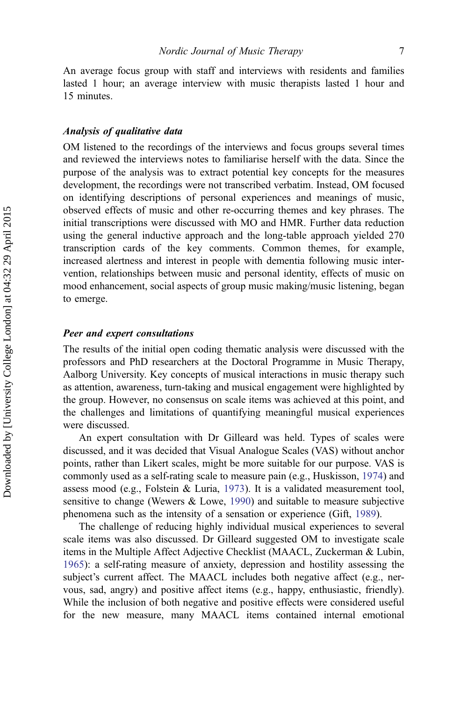An average focus group with staff and interviews with residents and families lasted 1 hour; an average interview with music therapists lasted 1 hour and 15 minutes.

# Analysis of qualitative data

OM listened to the recordings of the interviews and focus groups several times and reviewed the interviews notes to familiarise herself with the data. Since the purpose of the analysis was to extract potential key concepts for the measures development, the recordings were not transcribed verbatim. Instead, OM focused on identifying descriptions of personal experiences and meanings of music, observed effects of music and other re-occurring themes and key phrases. The initial transcriptions were discussed with MO and HMR. Further data reduction using the general inductive approach and the long-table approach yielded 270 transcription cards of the key comments. Common themes, for example, increased alertness and interest in people with dementia following music intervention, relationships between music and personal identity, effects of music on mood enhancement, social aspects of group music making/music listening, began to emerge.

#### Peer and expert consultations

The results of the initial open coding thematic analysis were discussed with the professors and PhD researchers at the Doctoral Programme in Music Therapy, Aalborg University. Key concepts of musical interactions in music therapy such as attention, awareness, turn-taking and musical engagement were highlighted by the group. However, no consensus on scale items was achieved at this point, and the challenges and limitations of quantifying meaningful musical experiences were discussed.

An expert consultation with Dr Gilleard was held. Types of scales were discussed, and it was decided that Visual Analogue Scales (VAS) without anchor points, rather than Likert scales, might be more suitable for our purpose. VAS is commonly used as a self-rating scale to measure pain (e.g., Huskisson, [1974](#page-18-0)) and assess mood (e.g., Folstein & Luria, [1973\)](#page-18-0). It is a validated measurement tool, sensitive to change (Wewers & Lowe, [1990](#page-19-0)) and suitable to measure subjective phenomena such as the intensity of a sensation or experience (Gift, [1989\)](#page-18-0).

The challenge of reducing highly individual musical experiences to several scale items was also discussed. Dr Gilleard suggested OM to investigate scale items in the Multiple Affect Adjective Checklist (MAACL, Zuckerman & Lubin, [1965\)](#page-19-0): a self-rating measure of anxiety, depression and hostility assessing the subject's current affect. The MAACL includes both negative affect (e.g., nervous, sad, angry) and positive affect items (e.g., happy, enthusiastic, friendly). While the inclusion of both negative and positive effects were considered useful for the new measure, many MAACL items contained internal emotional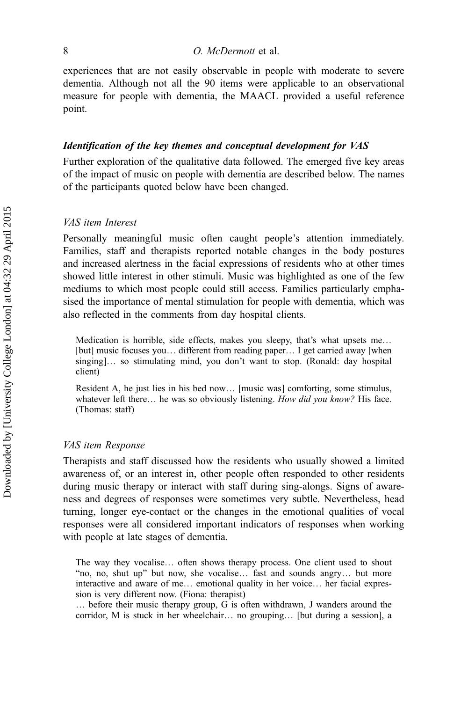#### 8 O. McDermott et al.

experiences that are not easily observable in people with moderate to severe dementia. Although not all the 90 items were applicable to an observational measure for people with dementia, the MAACL provided a useful reference point.

## Identification of the key themes and conceptual development for VAS

Further exploration of the qualitative data followed. The emerged five key areas of the impact of music on people with dementia are described below. The names of the participants quoted below have been changed.

## VAS item Interest

Personally meaningful music often caught people's attention immediately. Families, staff and therapists reported notable changes in the body postures and increased alertness in the facial expressions of residents who at other times showed little interest in other stimuli. Music was highlighted as one of the few mediums to which most people could still access. Families particularly emphasised the importance of mental stimulation for people with dementia, which was also reflected in the comments from day hospital clients.

Medication is horrible, side effects, makes you sleepy, that's what upsets me… [but] music focuses you... different from reading paper... I get carried away [when singing]… so stimulating mind, you don't want to stop. (Ronald: day hospital client)

Resident A, he just lies in his bed now… [music was] comforting, some stimulus, whatever left there… he was so obviously listening. How did you know? His face. (Thomas: staff)

#### VAS item Response

Therapists and staff discussed how the residents who usually showed a limited awareness of, or an interest in, other people often responded to other residents during music therapy or interact with staff during sing-alongs. Signs of awareness and degrees of responses were sometimes very subtle. Nevertheless, head turning, longer eye-contact or the changes in the emotional qualities of vocal responses were all considered important indicators of responses when working with people at late stages of dementia.

The way they vocalise… often shows therapy process. One client used to shout "no, no, shut up" but now, she vocalise… fast and sounds angry… but more interactive and aware of me… emotional quality in her voice… her facial expression is very different now. (Fiona: therapist)

… before their music therapy group, G is often withdrawn, J wanders around the corridor, M is stuck in her wheelchair… no grouping… [but during a session], a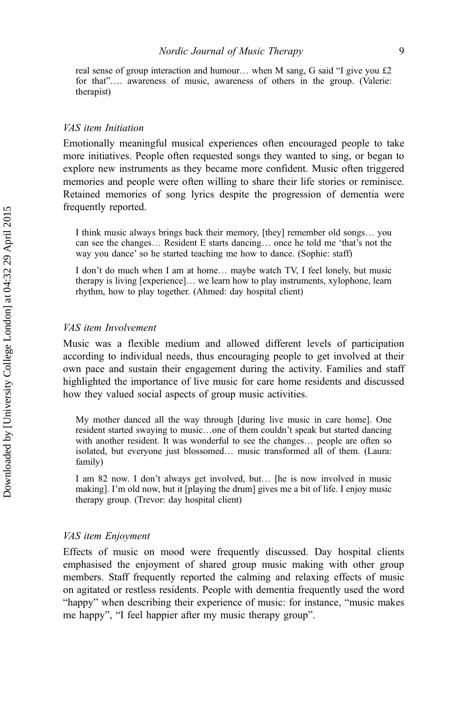real sense of group interaction and humour… when M sang, G said "I give you £2 for that"…. awareness of music, awareness of others in the group. (Valerie: therapist)

## VAS item Initiation

Emotionally meaningful musical experiences often encouraged people to take more initiatives. People often requested songs they wanted to sing, or began to explore new instruments as they became more confident. Music often triggered memories and people were often willing to share their life stories or reminisce. Retained memories of song lyrics despite the progression of dementia were frequently reported.

I think music always brings back their memory, [they] remember old songs… you can see the changes… Resident E starts dancing… once he told me 'that's not the way you dance' so he started teaching me how to dance. (Sophie: staff)

I don't do much when I am at home… maybe watch TV, I feel lonely, but music therapy is living [experience]… we learn how to play instruments, xylophone, learn rhythm, how to play together. (Ahmed: day hospital client)

## VAS item Involvement

Music was a flexible medium and allowed different levels of participation according to individual needs, thus encouraging people to get involved at their own pace and sustain their engagement during the activity. Families and staff highlighted the importance of live music for care home residents and discussed how they valued social aspects of group music activities.

My mother danced all the way through [during live music in care home]. One resident started swaying to music…one of them couldn't speak but started dancing with another resident. It was wonderful to see the changes... people are often so isolated, but everyone just blossomed… music transformed all of them. (Laura: family)

I am 82 now. I don't always get involved, but… [he is now involved in music making]. I'm old now, but it [playing the drum] gives me a bit of life. I enjoy music therapy group. (Trevor: day hospital client)

#### VAS item Enjoyment

Effects of music on mood were frequently discussed. Day hospital clients emphasised the enjoyment of shared group music making with other group members. Staff frequently reported the calming and relaxing effects of music on agitated or restless residents. People with dementia frequently used the word "happy" when describing their experience of music: for instance, "music makes me happy", "I feel happier after my music therapy group".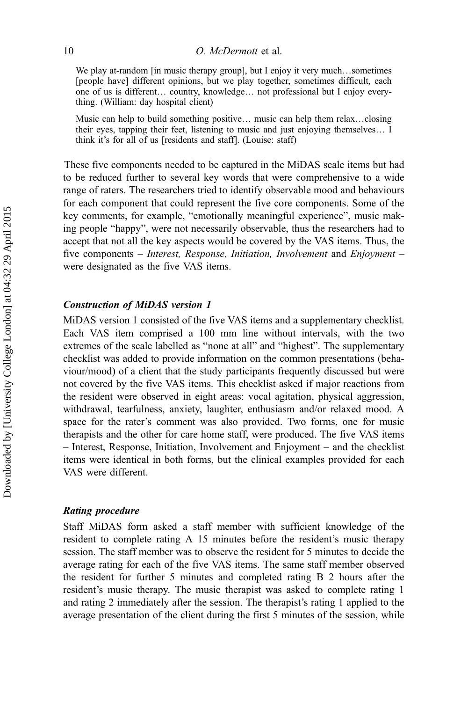#### 10 O. McDermott et al.

We play at-random [in music therapy group], but I enjoy it very much…sometimes [people have] different opinions, but we play together, sometimes difficult, each one of us is different… country, knowledge… not professional but I enjoy everything. (William: day hospital client)

Music can help to build something positive… music can help them relax…closing their eyes, tapping their feet, listening to music and just enjoying themselves… I think it's for all of us [residents and staff]. (Louise: staff)

These five components needed to be captured in the MiDAS scale items but had to be reduced further to several key words that were comprehensive to a wide range of raters. The researchers tried to identify observable mood and behaviours for each component that could represent the five core components. Some of the key comments, for example, "emotionally meaningful experience", music making people "happy", were not necessarily observable, thus the researchers had to accept that not all the key aspects would be covered by the VAS items. Thus, the five components – Interest, Response, Initiation, Involvement and Enjoyment – were designated as the five VAS items.

### Construction of MiDAS version 1

MiDAS version 1 consisted of the five VAS items and a supplementary checklist. Each VAS item comprised a 100 mm line without intervals, with the two extremes of the scale labelled as "none at all" and "highest". The supplementary checklist was added to provide information on the common presentations (behaviour/mood) of a client that the study participants frequently discussed but were not covered by the five VAS items. This checklist asked if major reactions from the resident were observed in eight areas: vocal agitation, physical aggression, withdrawal, tearfulness, anxiety, laughter, enthusiasm and/or relaxed mood. A space for the rater's comment was also provided. Two forms, one for music therapists and the other for care home staff, were produced. The five VAS items – Interest, Response, Initiation, Involvement and Enjoyment – and the checklist items were identical in both forms, but the clinical examples provided for each VAS were different.

#### Rating procedure

Staff MiDAS form asked a staff member with sufficient knowledge of the resident to complete rating A 15 minutes before the resident's music therapy session. The staff member was to observe the resident for 5 minutes to decide the average rating for each of the five VAS items. The same staff member observed the resident for further 5 minutes and completed rating B 2 hours after the resident's music therapy. The music therapist was asked to complete rating 1 and rating 2 immediately after the session. The therapist's rating 1 applied to the average presentation of the client during the first 5 minutes of the session, while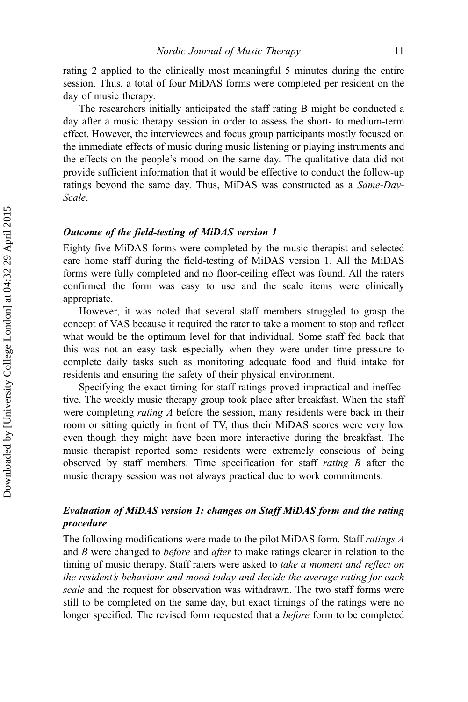rating 2 applied to the clinically most meaningful 5 minutes during the entire session. Thus, a total of four MiDAS forms were completed per resident on the day of music therapy.

The researchers initially anticipated the staff rating B might be conducted a day after a music therapy session in order to assess the short- to medium-term effect. However, the interviewees and focus group participants mostly focused on the immediate effects of music during music listening or playing instruments and the effects on the people's mood on the same day. The qualitative data did not provide sufficient information that it would be effective to conduct the follow-up ratings beyond the same day. Thus, MiDAS was constructed as a Same-Day-Scale.

# Outcome of the field-testing of MiDAS version 1

Eighty-five MiDAS forms were completed by the music therapist and selected care home staff during the field-testing of MiDAS version 1. All the MiDAS forms were fully completed and no floor-ceiling effect was found. All the raters confirmed the form was easy to use and the scale items were clinically appropriate.

However, it was noted that several staff members struggled to grasp the concept of VAS because it required the rater to take a moment to stop and reflect what would be the optimum level for that individual. Some staff fed back that this was not an easy task especially when they were under time pressure to complete daily tasks such as monitoring adequate food and fluid intake for residents and ensuring the safety of their physical environment.

Specifying the exact timing for staff ratings proved impractical and ineffective. The weekly music therapy group took place after breakfast. When the staff were completing *rating A* before the session, many residents were back in their room or sitting quietly in front of TV, thus their MiDAS scores were very low even though they might have been more interactive during the breakfast. The music therapist reported some residents were extremely conscious of being observed by staff members. Time specification for staff rating B after the music therapy session was not always practical due to work commitments.

# Evaluation of MiDAS version 1: changes on Staff MiDAS form and the rating procedure

The following modifications were made to the pilot MiDAS form. Staff ratings A and B were changed to *before* and *after* to make ratings clearer in relation to the timing of music therapy. Staff raters were asked to *take a moment and reflect on* the resident's behaviour and mood today and decide the average rating for each scale and the request for observation was withdrawn. The two staff forms were still to be completed on the same day, but exact timings of the ratings were no longer specified. The revised form requested that a *before* form to be completed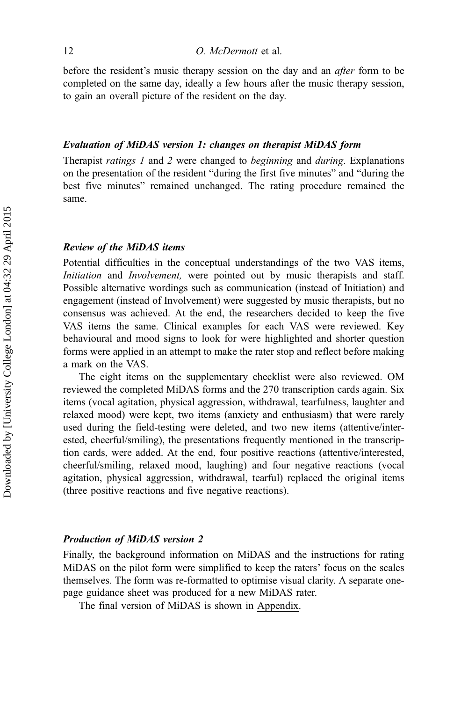before the resident's music therapy session on the day and an *after* form to be completed on the same day, ideally a few hours after the music therapy session, to gain an overall picture of the resident on the day.

#### Evaluation of MiDAS version 1: changes on therapist MiDAS form

Therapist ratings 1 and 2 were changed to beginning and during. Explanations on the presentation of the resident "during the first five minutes" and "during the best five minutes" remained unchanged. The rating procedure remained the same.

#### Review of the MiDAS items

Potential difficulties in the conceptual understandings of the two VAS items, Initiation and Involvement, were pointed out by music therapists and staff. Possible alternative wordings such as communication (instead of Initiation) and engagement (instead of Involvement) were suggested by music therapists, but no consensus was achieved. At the end, the researchers decided to keep the five VAS items the same. Clinical examples for each VAS were reviewed. Key behavioural and mood signs to look for were highlighted and shorter question forms were applied in an attempt to make the rater stop and reflect before making a mark on the VAS.

The eight items on the supplementary checklist were also reviewed. OM reviewed the completed MiDAS forms and the 270 transcription cards again. Six items (vocal agitation, physical aggression, withdrawal, tearfulness, laughter and relaxed mood) were kept, two items (anxiety and enthusiasm) that were rarely used during the field-testing were deleted, and two new items (attentive/interested, cheerful/smiling), the presentations frequently mentioned in the transcription cards, were added. At the end, four positive reactions (attentive/interested, cheerful/smiling, relaxed mood, laughing) and four negative reactions (vocal agitation, physical aggression, withdrawal, tearful) replaced the original items (three positive reactions and five negative reactions).

# Production of MiDAS version 2

Finally, the background information on MiDAS and the instructions for rating MiDAS on the pilot form were simplified to keep the raters' focus on the scales themselves. The form was re-formatted to optimise visual clarity. A separate onepage guidance sheet was produced for a new MiDAS rater.

The final version of MiDAS is shown in Appendix.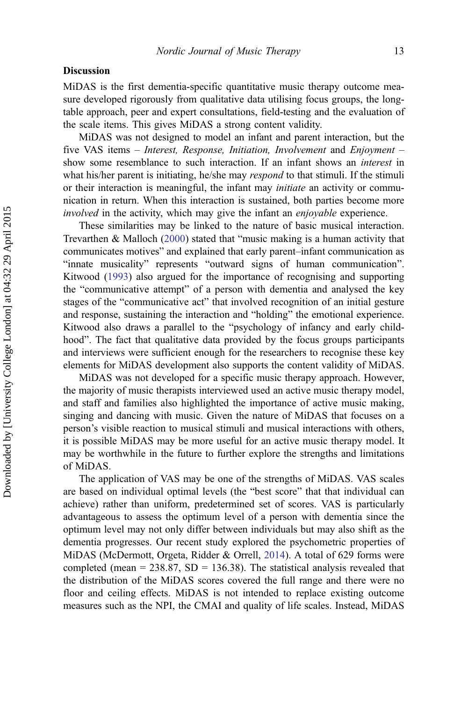# **Discussion**

MiDAS is the first dementia-specific quantitative music therapy outcome measure developed rigorously from qualitative data utilising focus groups, the longtable approach, peer and expert consultations, field-testing and the evaluation of the scale items. This gives MiDAS a strong content validity.

MiDAS was not designed to model an infant and parent interaction, but the five VAS items – Interest, Response, Initiation, Involvement and Enjoyment – show some resemblance to such interaction. If an infant shows an interest in what his/her parent is initiating, he/she may *respond* to that stimuli. If the stimuli or their interaction is meaningful, the infant may initiate an activity or communication in return. When this interaction is sustained, both parties become more involved in the activity, which may give the infant an *enjoyable* experience.

These similarities may be linked to the nature of basic musical interaction. Trevarthen & Malloch [\(2000](#page-19-0)) stated that "music making is a human activity that communicates motives" and explained that early parent–infant communication as "innate musicality" represents "outward signs of human communication". Kitwood ([1993\)](#page-18-0) also argued for the importance of recognising and supporting the "communicative attempt" of a person with dementia and analysed the key stages of the "communicative act" that involved recognition of an initial gesture and response, sustaining the interaction and "holding" the emotional experience. Kitwood also draws a parallel to the "psychology of infancy and early childhood". The fact that qualitative data provided by the focus groups participants and interviews were sufficient enough for the researchers to recognise these key elements for MiDAS development also supports the content validity of MiDAS.

MiDAS was not developed for a specific music therapy approach. However, the majority of music therapists interviewed used an active music therapy model, and staff and families also highlighted the importance of active music making, singing and dancing with music. Given the nature of MiDAS that focuses on a person's visible reaction to musical stimuli and musical interactions with others, it is possible MiDAS may be more useful for an active music therapy model. It may be worthwhile in the future to further explore the strengths and limitations of MiDAS.

The application of VAS may be one of the strengths of MiDAS. VAS scales are based on individual optimal levels (the "best score" that that individual can achieve) rather than uniform, predetermined set of scores. VAS is particularly advantageous to assess the optimum level of a person with dementia since the optimum level may not only differ between individuals but may also shift as the dementia progresses. Our recent study explored the psychometric properties of MiDAS (McDermott, Orgeta, Ridder & Orrell, [2014\)](#page-19-0). A total of 629 forms were completed (mean =  $238.87$ , SD = 136.38). The statistical analysis revealed that the distribution of the MiDAS scores covered the full range and there were no floor and ceiling effects. MiDAS is not intended to replace existing outcome measures such as the NPI, the CMAI and quality of life scales. Instead, MiDAS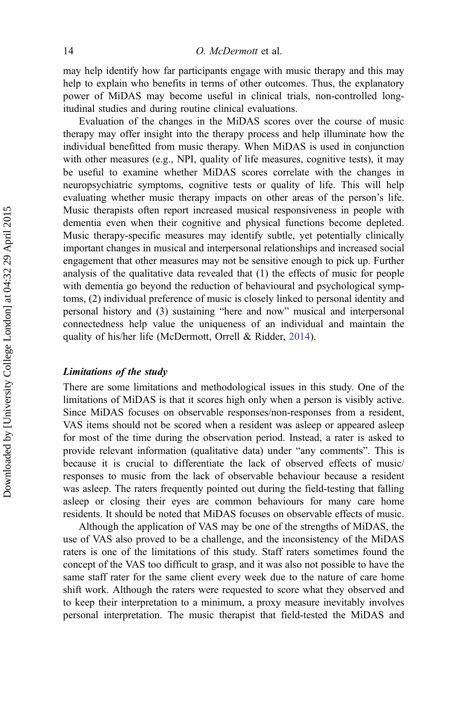may help identify how far participants engage with music therapy and this may help to explain who benefits in terms of other outcomes. Thus, the explanatory power of MiDAS may become useful in clinical trials, non-controlled longitudinal studies and during routine clinical evaluations.

Evaluation of the changes in the MiDAS scores over the course of music therapy may offer insight into the therapy process and help illuminate how the individual benefitted from music therapy. When MiDAS is used in conjunction with other measures (e.g., NPI, quality of life measures, cognitive tests), it may be useful to examine whether MiDAS scores correlate with the changes in neuropsychiatric symptoms, cognitive tests or quality of life. This will help evaluating whether music therapy impacts on other areas of the person's life. Music therapists often report increased musical responsiveness in people with dementia even when their cognitive and physical functions become depleted. Music therapy-specific measures may identify subtle, yet potentially clinically important changes in musical and interpersonal relationships and increased social engagement that other measures may not be sensitive enough to pick up. Further analysis of the qualitative data revealed that (1) the effects of music for people with dementia go beyond the reduction of behavioural and psychological symptoms, (2) individual preference of music is closely linked to personal identity and personal history and (3) sustaining "here and now" musical and interpersonal connectedness help value the uniqueness of an individual and maintain the quality of his/her life (McDermott, Orrell & Ridder, [2014](#page-19-0)).

# Limitations of the study

There are some limitations and methodological issues in this study. One of the limitations of MiDAS is that it scores high only when a person is visibly active. Since MiDAS focuses on observable responses/non-responses from a resident, VAS items should not be scored when a resident was asleep or appeared asleep for most of the time during the observation period. Instead, a rater is asked to provide relevant information (qualitative data) under "any comments". This is because it is crucial to differentiate the lack of observed effects of music/ responses to music from the lack of observable behaviour because a resident was asleep. The raters frequently pointed out during the field-testing that falling asleep or closing their eyes are common behaviours for many care home residents. It should be noted that MiDAS focuses on observable effects of music.

Although the application of VAS may be one of the strengths of MiDAS, the use of VAS also proved to be a challenge, and the inconsistency of the MiDAS raters is one of the limitations of this study. Staff raters sometimes found the concept of the VAS too difficult to grasp, and it was also not possible to have the same staff rater for the same client every week due to the nature of care home shift work. Although the raters were requested to score what they observed and to keep their interpretation to a minimum, a proxy measure inevitably involves personal interpretation. The music therapist that field-tested the MiDAS and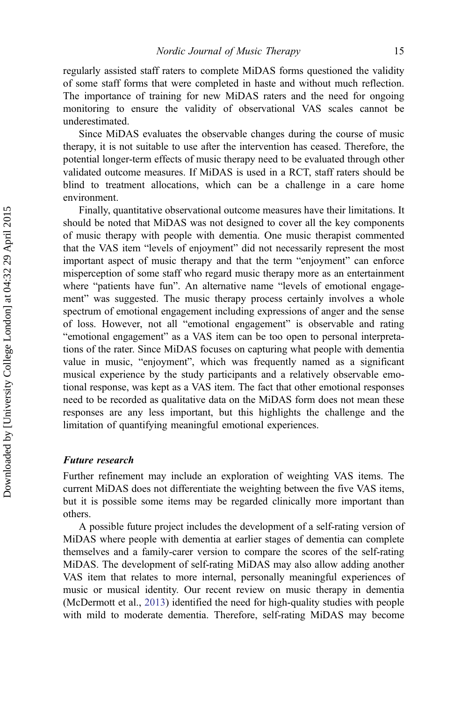regularly assisted staff raters to complete MiDAS forms questioned the validity of some staff forms that were completed in haste and without much reflection. The importance of training for new MiDAS raters and the need for ongoing monitoring to ensure the validity of observational VAS scales cannot be underestimated.

Since MiDAS evaluates the observable changes during the course of music therapy, it is not suitable to use after the intervention has ceased. Therefore, the potential longer-term effects of music therapy need to be evaluated through other validated outcome measures. If MiDAS is used in a RCT, staff raters should be blind to treatment allocations, which can be a challenge in a care home environment.

Finally, quantitative observational outcome measures have their limitations. It should be noted that MiDAS was not designed to cover all the key components of music therapy with people with dementia. One music therapist commented that the VAS item "levels of enjoyment" did not necessarily represent the most important aspect of music therapy and that the term "enjoyment" can enforce misperception of some staff who regard music therapy more as an entertainment where "patients have fun". An alternative name "levels of emotional engagement" was suggested. The music therapy process certainly involves a whole spectrum of emotional engagement including expressions of anger and the sense of loss. However, not all "emotional engagement" is observable and rating "emotional engagement" as a VAS item can be too open to personal interpretations of the rater. Since MiDAS focuses on capturing what people with dementia value in music, "enjoyment", which was frequently named as a significant musical experience by the study participants and a relatively observable emotional response, was kept as a VAS item. The fact that other emotional responses need to be recorded as qualitative data on the MiDAS form does not mean these responses are any less important, but this highlights the challenge and the limitation of quantifying meaningful emotional experiences.

#### Future research

Further refinement may include an exploration of weighting VAS items. The current MiDAS does not differentiate the weighting between the five VAS items, but it is possible some items may be regarded clinically more important than others.

A possible future project includes the development of a self-rating version of MiDAS where people with dementia at earlier stages of dementia can complete themselves and a family-carer version to compare the scores of the self-rating MiDAS. The development of self-rating MiDAS may also allow adding another VAS item that relates to more internal, personally meaningful experiences of music or musical identity. Our recent review on music therapy in dementia (McDermott et al., [2013\)](#page-19-0) identified the need for high-quality studies with people with mild to moderate dementia. Therefore, self-rating MiDAS may become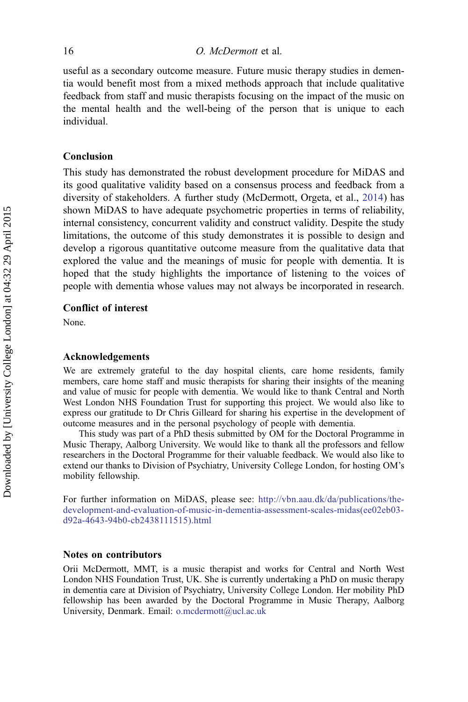useful as a secondary outcome measure. Future music therapy studies in dementia would benefit most from a mixed methods approach that include qualitative feedback from staff and music therapists focusing on the impact of the music on the mental health and the well-being of the person that is unique to each individual.

#### Conclusion

This study has demonstrated the robust development procedure for MiDAS and its good qualitative validity based on a consensus process and feedback from a diversity of stakeholders. A further study (McDermott, Orgeta, et al., [2014\)](#page-19-0) has shown MiDAS to have adequate psychometric properties in terms of reliability, internal consistency, concurrent validity and construct validity. Despite the study limitations, the outcome of this study demonstrates it is possible to design and develop a rigorous quantitative outcome measure from the qualitative data that explored the value and the meanings of music for people with dementia. It is hoped that the study highlights the importance of listening to the voices of people with dementia whose values may not always be incorporated in research.

# Conflict of interest

None.

#### Acknowledgements

We are extremely grateful to the day hospital clients, care home residents, family members, care home staff and music therapists for sharing their insights of the meaning and value of music for people with dementia. We would like to thank Central and North West London NHS Foundation Trust for supporting this project. We would also like to express our gratitude to Dr Chris Gilleard for sharing his expertise in the development of outcome measures and in the personal psychology of people with dementia.

This study was part of a PhD thesis submitted by OM for the Doctoral Programme in Music Therapy, Aalborg University. We would like to thank all the professors and fellow researchers in the Doctoral Programme for their valuable feedback. We would also like to extend our thanks to Division of Psychiatry, University College London, for hosting OM's mobility fellowship.

For further information on MiDAS, please see: [http://vbn.aau.dk/da/publications/the](http://vbn.aau.dk/da/publications/the-development-and-evaluation-of-music-in-dementia-assessment-scales-midas(ee02eb03-d92a-4643-94b0-cb2438111515).html)[development-and-evaluation-of-music-in-dementia-assessment-scales-midas\(ee02eb03](http://vbn.aau.dk/da/publications/the-development-and-evaluation-of-music-in-dementia-assessment-scales-midas(ee02eb03-d92a-4643-94b0-cb2438111515).html) [d92a-4643-94b0-cb2438111515\).html](http://vbn.aau.dk/da/publications/the-development-and-evaluation-of-music-in-dementia-assessment-scales-midas(ee02eb03-d92a-4643-94b0-cb2438111515).html)

#### Notes on contributors

Orii McDermott, MMT, is a music therapist and works for Central and North West London NHS Foundation Trust, UK. She is currently undertaking a PhD on music therapy in dementia care at Division of Psychiatry, University College London. Her mobility PhD fellowship has been awarded by the Doctoral Programme in Music Therapy, Aalborg University, Denmark. Email: o.mcdermott@ucl.ac.uk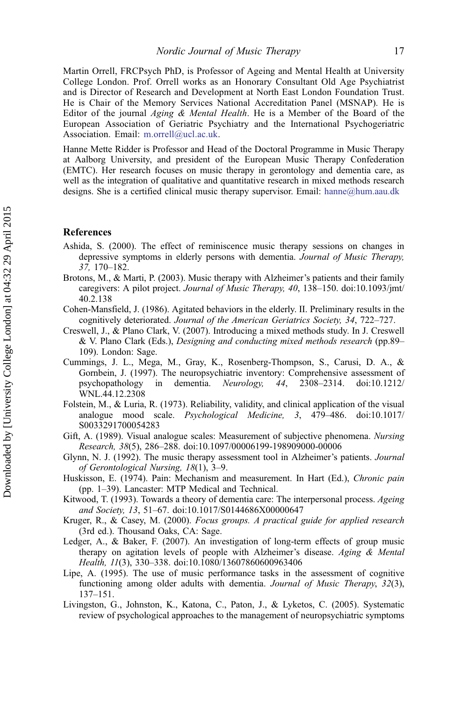<span id="page-18-0"></span>Martin Orrell, FRCPsych PhD, is Professor of Ageing and Mental Health at University College London. Prof. Orrell works as an Honorary Consultant Old Age Psychiatrist and is Director of Research and Development at North East London Foundation Trust. He is Chair of the Memory Services National Accreditation Panel (MSNAP). He is Editor of the journal Aging & Mental Health. He is a Member of the Board of the European Association of Geriatric Psychiatry and the International Psychogeriatric Association. Email: m.orrell@ucl.ac.uk.

Hanne Mette Ridder is Professor and Head of the Doctoral Programme in Music Therapy at Aalborg University, and president of the European Music Therapy Confederation (EMTC). Her research focuses on music therapy in gerontology and dementia care, as well as the integration of qualitative and quantitative research in mixed methods research designs. She is a certified clinical music therapy supervisor. Email: hanne@hum.aau.dk

#### References

- Ashida, S. (2000). The effect of reminiscence music therapy sessions on changes in depressive symptoms in elderly persons with dementia. Journal of Music Therapy, 37, 170–182.
- Brotons, M., & Marti, P. (2003). Music therapy with Alzheimer's patients and their family caregivers: A pilot project. Journal of Music Therapy, 40, 138–150. doi:10.1093/jmt/ 40.2.138
- Cohen-Mansfield, J. (1986). Agitated behaviors in the elderly. II. Preliminary results in the cognitively deteriorated. Journal of the American Geriatrics Society, 34, 722–727.
- Creswell, J., & Plano Clark, V. (2007). Introducing a mixed methods study. In J. Creswell & V. Plano Clark (Eds.), Designing and conducting mixed methods research (pp.89– 109). London: Sage.
- Cummings, J. L., Mega, M., Gray, K., Rosenberg-Thompson, S., Carusi, D. A., & Gornbein, J. (1997). The neuropsychiatric inventory: Comprehensive assessment of psychopathology in dementia. Neurology, 44, 2308–2314. doi:10.1212/ WNL.44.12.2308
- Folstein, M., & Luria, R. (1973). Reliability, validity, and clinical application of the visual analogue mood scale. Psychological Medicine, 3, 479–486. doi:10.1017/ S0033291700054283
- Gift, A. (1989). Visual analogue scales: Measurement of subjective phenomena. *Nursing* Research, 38(5), 286–288. doi:10.1097/00006199-198909000-00006
- Glynn, N. J. (1992). The music therapy assessment tool in Alzheimer's patients. Journal of Gerontological Nursing, 18(1), 3–9.
- Huskisson, E. (1974). Pain: Mechanism and measurement. In Hart (Ed.), Chronic pain (pp. 1–39). Lancaster: MTP Medical and Technical.
- Kitwood, T. (1993). Towards a theory of dementia care: The interpersonal process. Ageing and Society, 13, 51–67. doi:10.1017/S0144686X00000647
- Kruger, R., & Casey, M. (2000). Focus groups. A practical guide for applied research (3rd ed.). Thousand Oaks, CA: Sage.
- Ledger, A., & Baker, F. (2007). An investigation of long-term effects of group music therapy on agitation levels of people with Alzheimer's disease. Aging & Mental Health, 11(3), 330–338. doi:10.1080/13607860600963406
- Lipe, A. (1995). The use of music performance tasks in the assessment of cognitive functioning among older adults with dementia. Journal of Music Therapy, 32(3), 137–151.
- Livingston, G., Johnston, K., Katona, C., Paton, J., & Lyketos, C. (2005). Systematic review of psychological approaches to the management of neuropsychiatric symptoms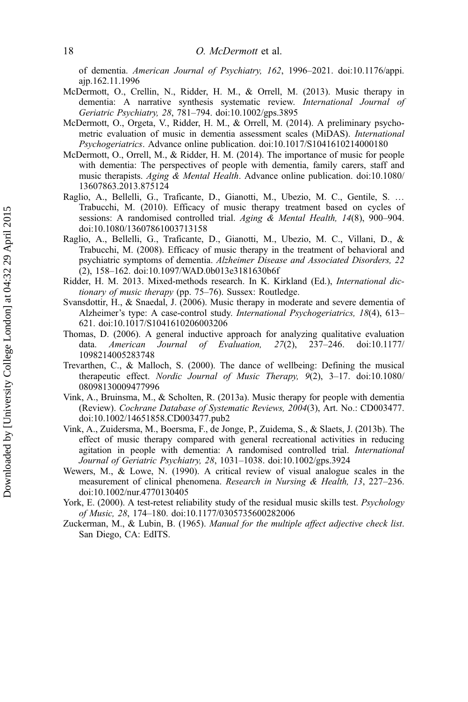<span id="page-19-0"></span>of dementia. American Journal of Psychiatry, 162, 1996–2021. doi:10.1176/appi. ajp.162.11.1996

- McDermott, O., Crellin, N., Ridder, H. M., & Orrell, M. (2013). Music therapy in dementia: A narrative synthesis systematic review. International Journal of Geriatric Psychiatry, 28, 781–794. doi:10.1002/gps.3895
- McDermott, O., Orgeta, V., Ridder, H. M., & Orrell, M. (2014). A preliminary psychometric evaluation of music in dementia assessment scales (MiDAS). International Psychogeriatrics. Advance online publication. doi:10.1017/S1041610214000180
- McDermott, O., Orrell, M., & Ridder, H. M. (2014). The importance of music for people with dementia: The perspectives of people with dementia, family carers, staff and music therapists. Aging & Mental Health. Advance online publication. doi:10.1080/ 13607863.2013.875124
- Raglio, A., Bellelli, G., Traficante, D., Gianotti, M., Ubezio, M. C., Gentile, S. … Trabucchi, M. (2010). Efficacy of music therapy treatment based on cycles of sessions: A randomised controlled trial. Aging & Mental Health, 14(8), 900–904. doi:10.1080/13607861003713158
- Raglio, A., Bellelli, G., Traficante, D., Gianotti, M., Ubezio, M. C., Villani, D., & Trabucchi, M. (2008). Efficacy of music therapy in the treatment of behavioral and psychiatric symptoms of dementia. Alzheimer Disease and Associated Disorders, 22 (2), 158–162. doi:10.1097/WAD.0b013e3181630b6f
- Ridder, H. M. 2013. Mixed-methods research. In K. Kirkland (Ed.), International dictionary of music therapy (pp. 75–76). Sussex: Routledge.
- Svansdottir, H., & Snaedal, J. (2006). Music therapy in moderate and severe dementia of Alzheimer's type: A case-control study. International Psychogeriatrics, 18(4), 613– 621. doi:10.1017/S1041610206003206
- Thomas, D. (2006). A general inductive approach for analyzing qualitative evaluation data. *American Journal of Evaluation*, 27(2), 237–246. doi:10.1177/ data. American Journal of Evaluation, 1098214005283748
- Trevarthen, C., & Malloch, S. (2000). The dance of wellbeing: Defining the musical therapeutic effect. Nordic Journal of Music Therapy,  $9(2)$ ,  $3-17$ . doi:10.1080/ 08098130009477996
- Vink, A., Bruinsma, M., & Scholten, R. (2013a). Music therapy for people with dementia (Review). Cochrane Database of Systematic Reviews, 2004(3), Art. No.: CD003477. doi:10.1002/14651858.CD003477.pub2
- Vink, A., Zuidersma, M., Boersma, F., de Jonge, P., Zuidema, S., & Slaets, J. (2013b). The effect of music therapy compared with general recreational activities in reducing agitation in people with dementia: A randomised controlled trial. International Journal of Geriatric Psychiatry, 28, 1031–1038. doi:10.1002/gps.3924
- Wewers, M., & Lowe, N. (1990). A critical review of visual analogue scales in the measurement of clinical phenomena. Research in Nursing & Health, 13, 227–236. doi:10.1002/nur.4770130405
- York, E. (2000). A test-retest reliability study of the residual music skills test. Psychology of Music, 28, 174–180. doi:10.1177/0305735600282006
- Zuckerman, M., & Lubin, B. (1965). Manual for the multiple affect adjective check list. San Diego, CA: EdITS.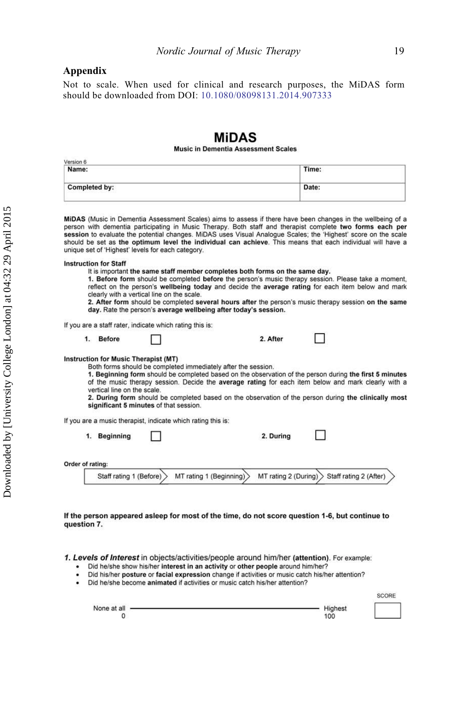# Appendix

Not to scale. When used for clinical and research purposes, the MiDAS form should be downloaded from DOI: [10.1080/08098131.2014.907333](http://10.1080/08098131.2014.907333)

# **MiDAS**

#### **Music in Dementia Assessment Scales**

| Name:            |                                                                     |                                                                                 |                                                                                                                                                | Time:                                                                                                                                                                                                                                                                                                                                                                                                                                                    |
|------------------|---------------------------------------------------------------------|---------------------------------------------------------------------------------|------------------------------------------------------------------------------------------------------------------------------------------------|----------------------------------------------------------------------------------------------------------------------------------------------------------------------------------------------------------------------------------------------------------------------------------------------------------------------------------------------------------------------------------------------------------------------------------------------------------|
| Completed by:    |                                                                     |                                                                                 |                                                                                                                                                | Date:                                                                                                                                                                                                                                                                                                                                                                                                                                                    |
|                  |                                                                     | unique set of 'Highest' levels for each category.                               |                                                                                                                                                | MiDAS (Music in Dementia Assessment Scales) aims to assess if there have been changes in the wellbeing of a<br>person with dementia participating in Music Therapy. Both staff and therapist complete two forms each per<br>session to evaluate the potential changes. MiDAS uses Visual Analogue Scales; the 'Highest' score on the scale<br>should be set as the optimum level the individual can achieve. This means that each individual will have a |
|                  | <b>Instruction for Staff</b>                                        | clearly with a vertical line on the scale.                                      | It is important the same staff member completes both forms on the same day.<br>day. Rate the person's average wellbeing after today's session. | 1. Before form should be completed before the person's music therapy session. Please take a moment,<br>reflect on the person's wellbeing today and decide the average rating for each item below and mark<br>2. After form should be completed several hours after the person's music therapy session on the same                                                                                                                                        |
|                  |                                                                     | If you are a staff rater, indicate which rating this is:                        |                                                                                                                                                |                                                                                                                                                                                                                                                                                                                                                                                                                                                          |
|                  | 1. Before                                                           |                                                                                 | 2. After                                                                                                                                       |                                                                                                                                                                                                                                                                                                                                                                                                                                                          |
|                  | Instruction for Music Therapist (MT)<br>vertical line on the scale. | significant 5 minutes of that session.                                          | Both forms should be completed immediately after the session.                                                                                  | 1. Beginning form should be completed based on the observation of the person during the first 5 minutes<br>of the music therapy session. Decide the average rating for each item below and mark clearly with a<br>2. During form should be completed based on the observation of the person during the clinically most                                                                                                                                   |
|                  |                                                                     | If you are a music therapist, indicate which rating this is:                    |                                                                                                                                                |                                                                                                                                                                                                                                                                                                                                                                                                                                                          |
|                  | 1. Beginning                                                        |                                                                                 | 2. During                                                                                                                                      |                                                                                                                                                                                                                                                                                                                                                                                                                                                          |
| Order of rating: |                                                                     |                                                                                 |                                                                                                                                                |                                                                                                                                                                                                                                                                                                                                                                                                                                                          |
|                  | Staff rating 1 (Before)                                             |                                                                                 | MT rating 1 (Beginning)<br>MT rating 2 (During)                                                                                                | Staff rating 2 (After)                                                                                                                                                                                                                                                                                                                                                                                                                                   |
|                  |                                                                     |                                                                                 |                                                                                                                                                |                                                                                                                                                                                                                                                                                                                                                                                                                                                          |
| question 7.      |                                                                     |                                                                                 | If the person appeared asleep for most of the time, do not score question 1-6, but continue to                                                 |                                                                                                                                                                                                                                                                                                                                                                                                                                                          |
|                  |                                                                     | Did he/she show his/her interest in an activity or other people around him/her? | 1. Levels of Interest in objects/activities/people around him/her (attention). For example:                                                    |                                                                                                                                                                                                                                                                                                                                                                                                                                                          |

None at all - $\circ$ 

| Highest |  |
|---------|--|
| 100     |  |